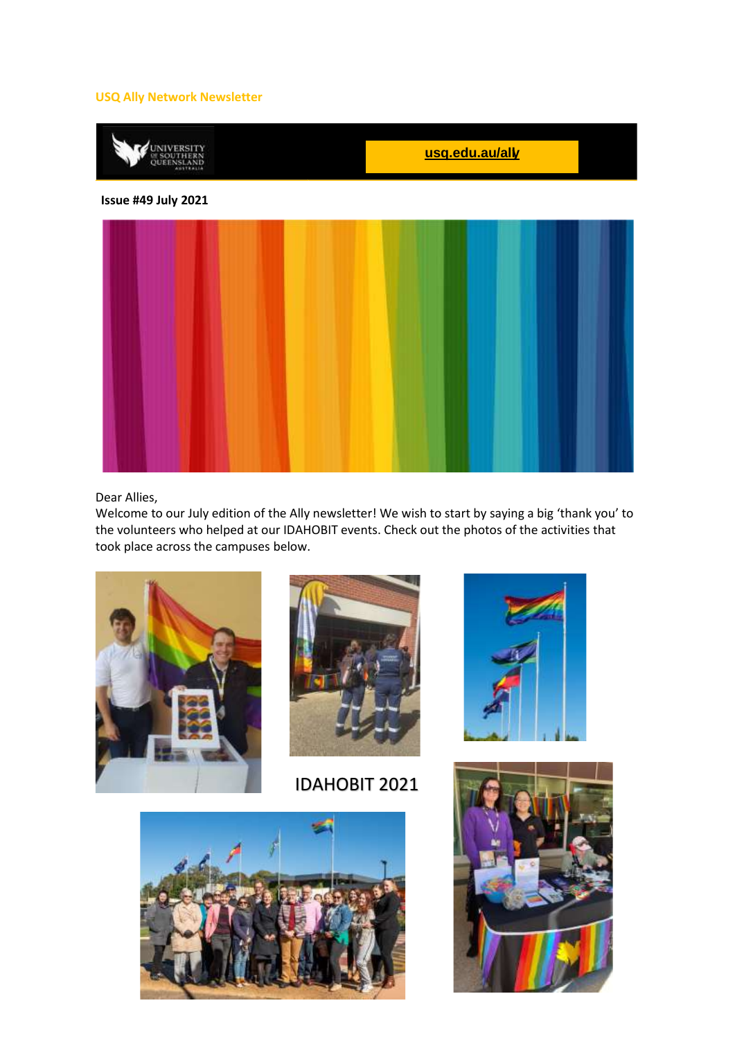#### **USQ Ally Network Newsletter**



#### Dear Allies,

Welcome to our July edition of the Ally newsletter! We wish to start by saying a big 'thank you' to the volunteers who helped at our IDAHOBIT events. Check out the photos of the activities that took place across the campuses below.





IDAHOBIT 2021





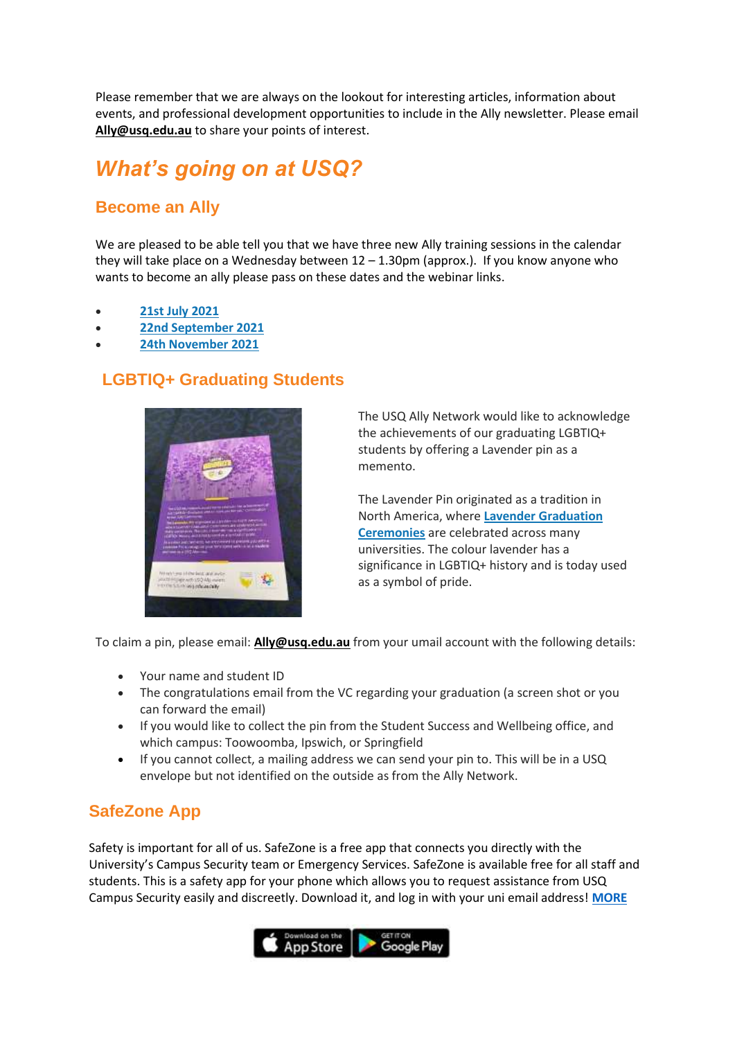Please remember that we are always on the lookout for interesting articles, information about events, and professional development opportunities to include in the Ally newsletter. Please email **[Ally@usq.edu.au](mailto:Ally@usq.edu.au)** to share your points of interest.

# *What's going on at USQ?*

### **Become an Ally**

We are pleased to be able tell you that we have three new Ally training sessions in the calendar they will take place on a Wednesday between 12 – 1.30pm (approx.). If you know anyone who wants to become an ally please pass on these dates and the webinar links.

- **[21st July 2021](https://usq.zoom.us/meeting/register/tZErdeisrzopGN3cQk_s-NzEo4est2lUQafl)**
- **[22nd September 2021](https://usq.zoom.us/meeting/register/tZwudOCqqDkpH9wO6tnOn_6FHIqewY2QlMlO)**
- **[24th November 2021](https://usq.zoom.us/meeting/register/tZ0ocuitpzspGdZG5jIkqWsNQliG6lAoX3ky)**

#### **LGBTIQ+ Graduating Students**



The USQ Ally Network would like to acknowledge the achievements of our graduating LGBTIQ+ students by offering a Lavender pin as a memento.

The Lavender Pin originated as a tradition in North America, where **[Lavender Graduation](https://www.hrc.org/resources/lavender-graduation#:~:text=What%20is%20Lavender%20Graduation%3F%20Lavender%20Graduation%20is%20an,acknowledge%20their%20achievements%20and%20contributions%20to%20the%20University.)  [Ceremonies](https://www.hrc.org/resources/lavender-graduation#:~:text=What%20is%20Lavender%20Graduation%3F%20Lavender%20Graduation%20is%20an,acknowledge%20their%20achievements%20and%20contributions%20to%20the%20University.)** are celebrated across many universities. The colour lavender has a significance in LGBTIQ+ history and is today used as a symbol of pride.

To claim a pin, please email: **[Ally@usq.edu.au](mailto:Ally@usq.edu.au)** from your umail account with the following details:

- Your name and student ID
- The congratulations email from the VC regarding your graduation (a screen shot or you can forward the email)
- If you would like to collect the pin from the Student Success and Wellbeing office, and which campus: Toowoomba, Ipswich, or Springfield
- If you cannot collect, a mailing address we can send your pin to. This will be in a USQ envelope but not identified on the outside as from the Ally Network.

### **SafeZone App**

Safety is important for all of us. SafeZone is a free app that connects you directly with the University's Campus Security team or Emergency Services. SafeZone is available free for all staff and students. This is a safety app for your phone which allows you to request assistance from USQ Campus Security easily and discreetly. Download it, and log in with your uni email address! **[MORE](https://www.usq.edu.au/facilities-management/security-and-emergency/safezone)**

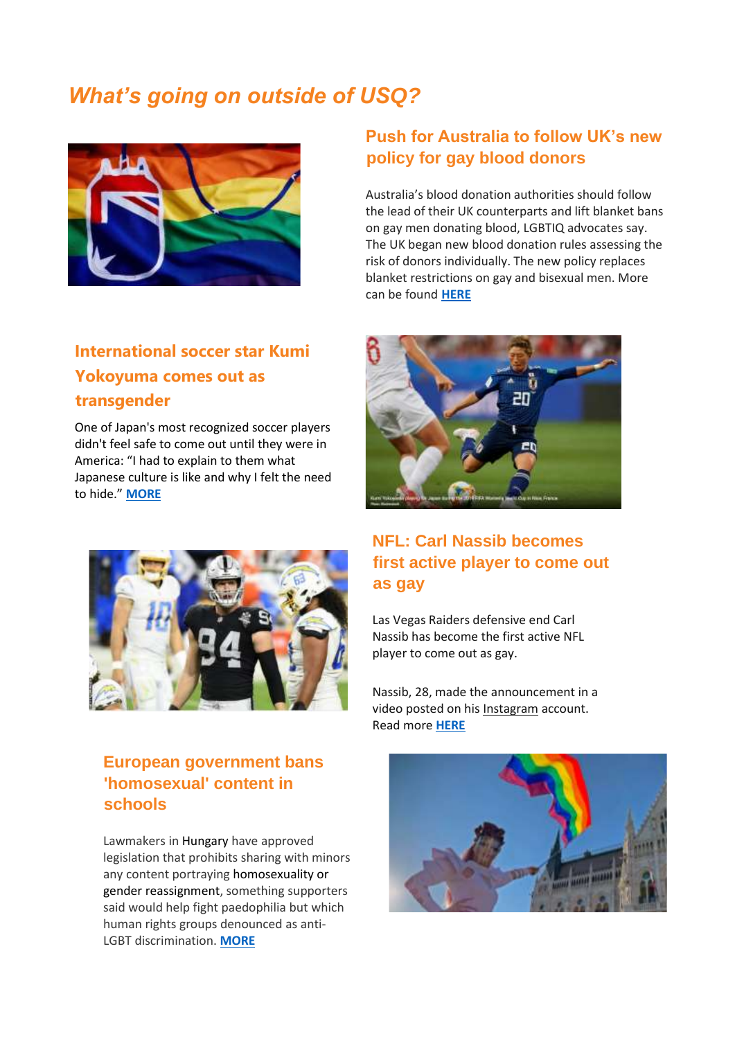# *What's going on outside of USQ?*



# **International soccer star Kumi Yokoyuma comes out as transgender**

One of Japan's most recognized soccer players didn't feel safe to come out until they were in America: "I had to explain to them what Japanese culture is like and why I felt the need to hide." **[MORE](https://www.lgbtqnation.com/2021/06/international-soccer-star-kumi-yokoyuma-comes-transgender/)**



### **European government bans 'homosexual' content in schools**

Lawmakers in Hungary have approved legislation that prohibits sharing with minors any content portraying homosexuality or gender reassignment, something supporters said would help fight paedophilia but which human rights groups denounced as anti-LGBT discrimination. **[MORE](https://www.9news.com.au/world/lgbt-content-banned-for-minors-hungary/3c893dcb-9291-4913-b99c-496ed38191b1)**

### **Push for Australia to follow UK's new policy for gay blood donors**

Australia's blood donation authorities should follow the lead of their UK counterparts and lift blanket bans on gay men donating blood, LGBTIQ advocates say. The UK began new blood donation rules assessing the risk of donors individually. The new policy replaces blanket restrictions on gay and bisexual men. More can be found **[HERE](https://qnews.com.au/push-for-australia-to-follow-uks-new-policy-for-gay-blood-donors/)**



## **NFL: Carl Nassib becomes first active player to come out as gay**

Las Vegas Raiders defensive end Carl Nassib has become the first active NFL player to come out as gay.

Nassib, 28, made the announcement in a video posted on his [Instagram](https://www.instagram.com/p/CQZXu_8nyy_/) account. Read more **[HERE](https://www.bbc.com/sport/american-football/57562545)**

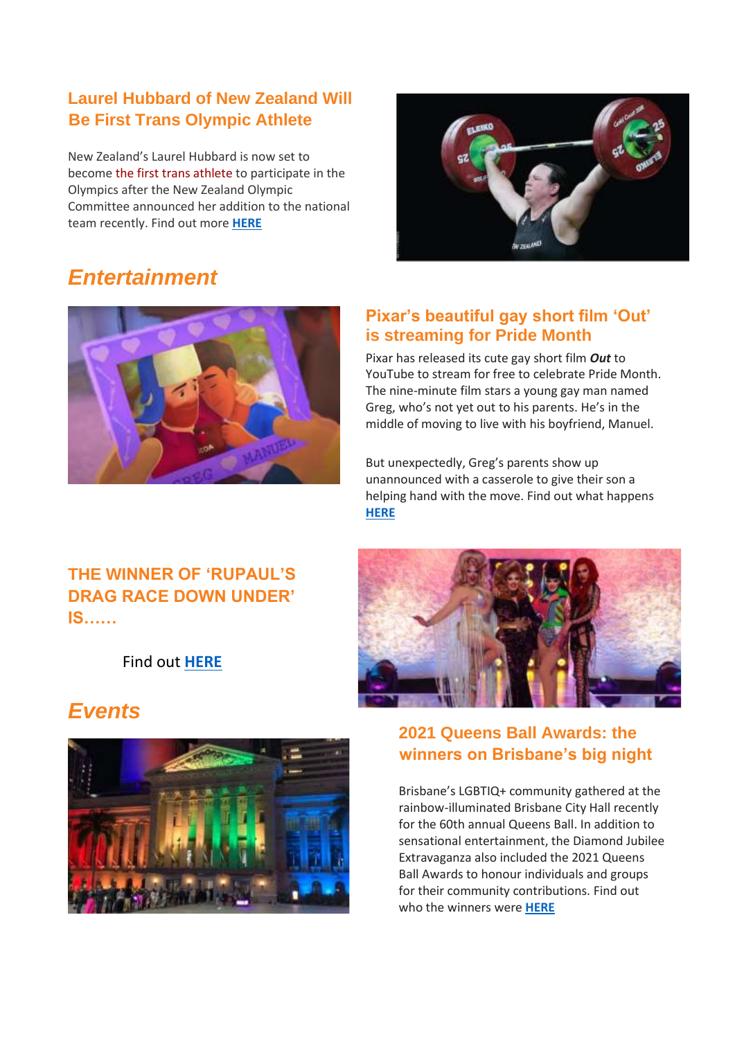## **Laurel Hubbard of New Zealand Will Be First Trans Olympic Athlete**

New Zealand's Laurel Hubbard is now set to become [the first trans athlete](https://www.advocate.com/sports/2021/5/06/weight-lifter-laurel-hubbard-likely-be-first-trans-olympian) to participate in the Olympics after the New Zealand Olympic Committee announced her addition to the national team recently. Find out more **[HERE](https://www.advocate.com/sports/2021/6/21/laurel-hubbard-new-zealand-will-be-first-trans-olympic-athlete)**



# *Entertainment*



### **Pixar's beautiful gay short film 'Out' is streaming for Pride Month**

Pixar has released its cute gay short film *Out* to YouTube to stream for free to celebrate Pride Month. The nine-minute film stars a young gay man named Greg, who's not yet out to his parents. He's in the middle of moving to live with his boyfriend, Manuel.

But unexpectedly, Greg's parents show up unannounced with a casserole to give their son a helping hand with the move. Find out what happens **[HERE](https://qnews.com.au/pixars-beautiful-gay-short-film-out-is-streaming-for-pride-month/)**

## **THE WINNER OF 'RUPAUL'S DRAG RACE DOWN UNDER' IS……**

Find out **[HERE](https://www.starobserver.com.au/news/the-winner-of-rupauls-drag-race-down-under-is/203880)**

# *Events*





## **2021 Queens Ball Awards: the winners on Brisbane's big night**

Brisbane's LGBTIQ+ community gathered at the rainbow-illuminated Brisbane City Hall recently for the 60th annual Queens Ball. In addition to sensational entertainment, the Diamond Jubilee Extravaganza also included the 2021 Queens Ball Awards to honour individuals and groups for their community contributions. Find out who the winners were **[HERE](https://qnews.com.au/2021-queens-ball-awards-the-winners-on-brisbanes-big-night/)**